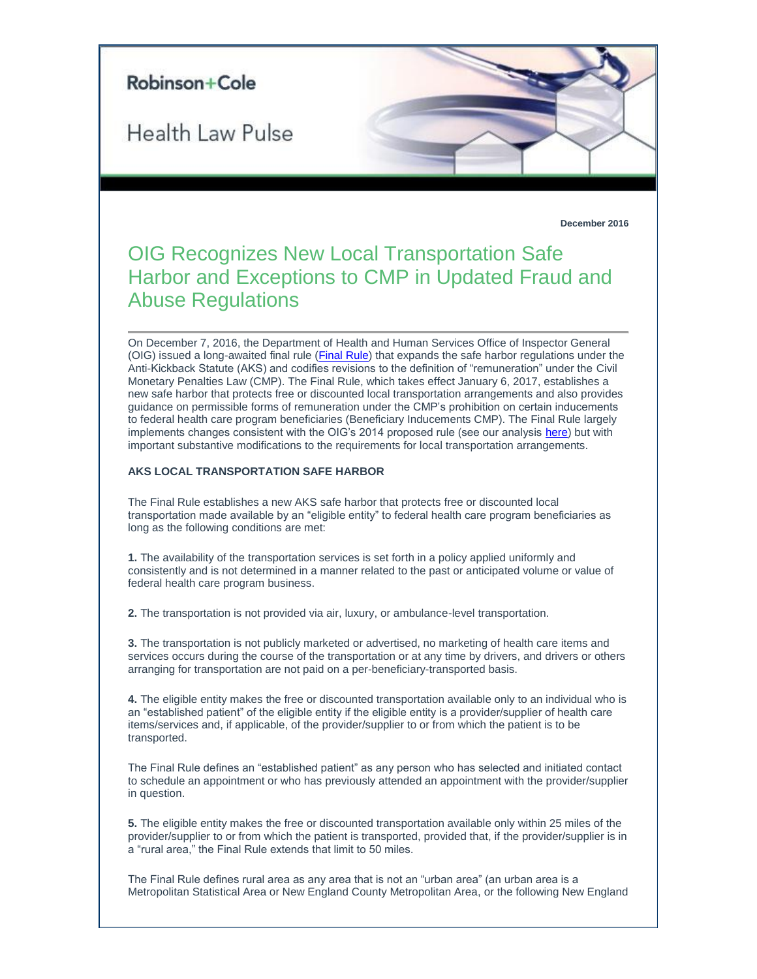

The Final Rule defines rural area as any area that is not an "urban area" (an urban area is a Metropolitan Statistical Area or New England County Metropolitan Area, or the following New England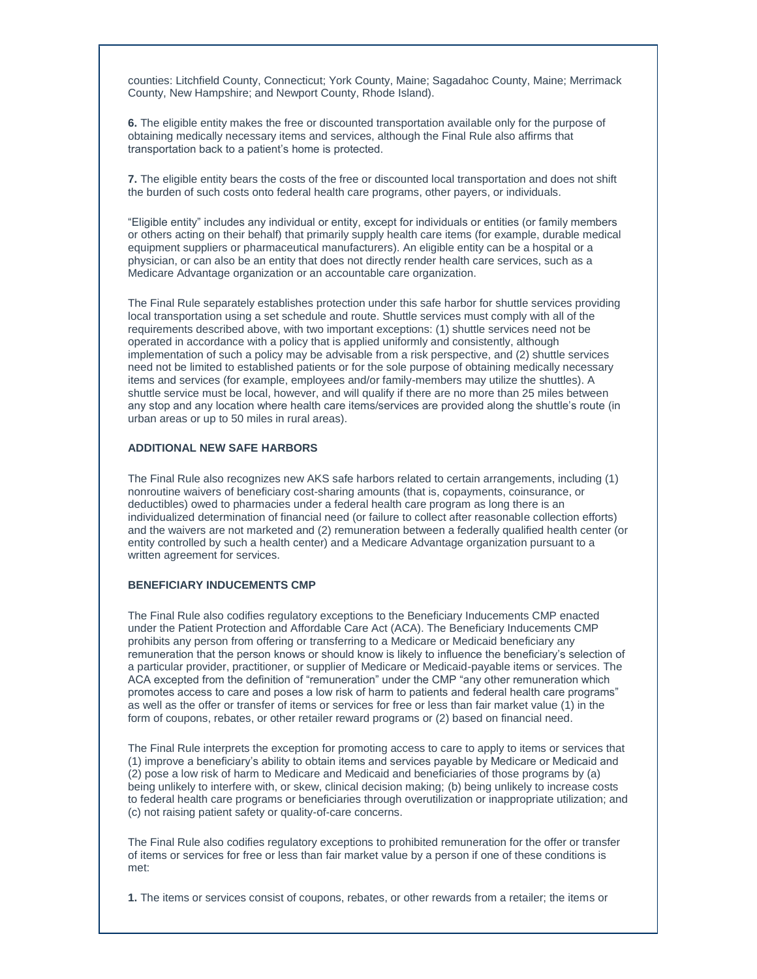counties: Litchfield County, Connecticut; York County, Maine; Sagadahoc County, Maine; Merrimack County, New Hampshire; and Newport County, Rhode Island).

**6.** The eligible entity makes the free or discounted transportation available only for the purpose of obtaining medically necessary items and services, although the Final Rule also affirms that transportation back to a patient's home is protected.

**7.** The eligible entity bears the costs of the free or discounted local transportation and does not shift the burden of such costs onto federal health care programs, other payers, or individuals.

"Eligible entity" includes any individual or entity, except for individuals or entities (or family members or others acting on their behalf) that primarily supply health care items (for example, durable medical equipment suppliers or pharmaceutical manufacturers). An eligible entity can be a hospital or a physician, or can also be an entity that does not directly render health care services, such as a Medicare Advantage organization or an accountable care organization.

The Final Rule separately establishes protection under this safe harbor for shuttle services providing local transportation using a set schedule and route. Shuttle services must comply with all of the requirements described above, with two important exceptions: (1) shuttle services need not be operated in accordance with a policy that is applied uniformly and consistently, although implementation of such a policy may be advisable from a risk perspective, and (2) shuttle services need not be limited to established patients or for the sole purpose of obtaining medically necessary items and services (for example, employees and/or family-members may utilize the shuttles). A shuttle service must be local, however, and will qualify if there are no more than 25 miles between any stop and any location where health care items/services are provided along the shuttle's route (in urban areas or up to 50 miles in rural areas).

## **ADDITIONAL NEW SAFE HARBORS**

The Final Rule also recognizes new AKS safe harbors related to certain arrangements, including (1) nonroutine waivers of beneficiary cost-sharing amounts (that is, copayments, coinsurance, or deductibles) owed to pharmacies under a federal health care program as long there is an individualized determination of financial need (or failure to collect after reasonable collection efforts) and the waivers are not marketed and (2) remuneration between a federally qualified health center (or entity controlled by such a health center) and a Medicare Advantage organization pursuant to a written agreement for services.

## **BENEFICIARY INDUCEMENTS CMP**

The Final Rule also codifies regulatory exceptions to the Beneficiary Inducements CMP enacted under the Patient Protection and Affordable Care Act (ACA). The Beneficiary Inducements CMP prohibits any person from offering or transferring to a Medicare or Medicaid beneficiary any remuneration that the person knows or should know is likely to influence the beneficiary's selection of a particular provider, practitioner, or supplier of Medicare or Medicaid-payable items or services. The ACA excepted from the definition of "remuneration" under the CMP "any other remuneration which promotes access to care and poses a low risk of harm to patients and federal health care programs" as well as the offer or transfer of items or services for free or less than fair market value (1) in the form of coupons, rebates, or other retailer reward programs or (2) based on financial need.

The Final Rule interprets the exception for promoting access to care to apply to items or services that (1) improve a beneficiary's ability to obtain items and services payable by Medicare or Medicaid and (2) pose a low risk of harm to Medicare and Medicaid and beneficiaries of those programs by (a) being unlikely to interfere with, or skew, clinical decision making; (b) being unlikely to increase costs to federal health care programs or beneficiaries through overutilization or inappropriate utilization; and (c) not raising patient safety or quality-of-care concerns.

The Final Rule also codifies regulatory exceptions to prohibited remuneration for the offer or transfer of items or services for free or less than fair market value by a person if one of these conditions is met:

**1.** The items or services consist of coupons, rebates, or other rewards from a retailer; the items or